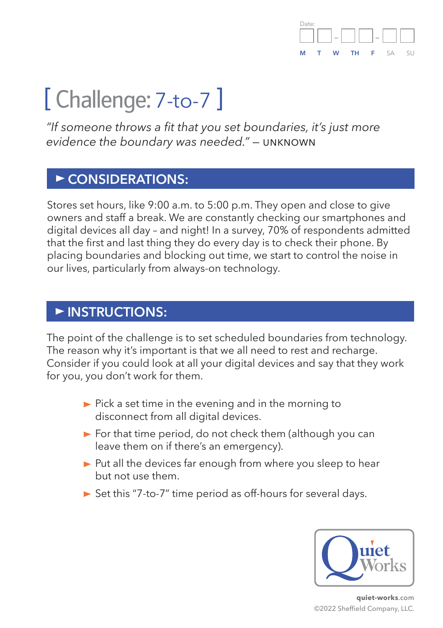

# [ Challenge: 7-to-7 ]

*"If someone throws a fit that you set boundaries, it's just more evidence the boundary was needed." —* unknown

## **CONSIDERATIONS:**

Stores set hours, like 9:00 a.m. to 5:00 p.m. They open and close to give owners and staff a break. We are constantly checking our smartphones and digital devices all day – and night! In a survey, 70% of respondents admitted that the first and last thing they do every day is to check their phone. By placing boundaries and blocking out time, we start to control the noise in our lives, particularly from always-on technology.

#### **INSTRUCTIONS:**

The point of the challenge is to set scheduled boundaries from technology. The reason why it's important is that we all need to rest and recharge. Consider if you could look at all your digital devices and say that they work for you, you don't work for them.

- $\blacktriangleright$  Pick a set time in the evening and in the morning to disconnect from all digital devices.
- $\triangleright$  For that time period, do not check them (although you can leave them on if there's an emergency).
- $\triangleright$  Put all the devices far enough from where you sleep to hear but not use them.
- $\triangleright$  Set this "7-to-7" time period as off-hours for several days.